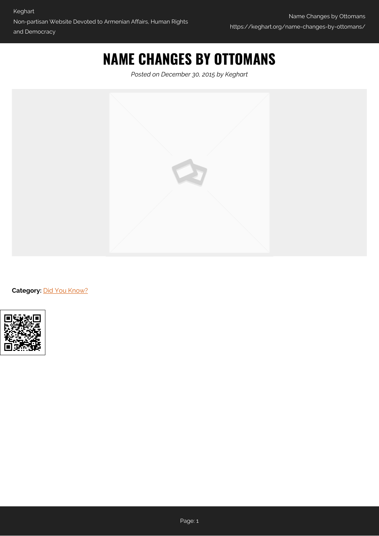## **NAME CHANGES BY OTTOMANS**

*Posted on December 30, 2015 by Keghart*



**Category: [Did You Know?](https://keghart.org/category/did-you-know/)**